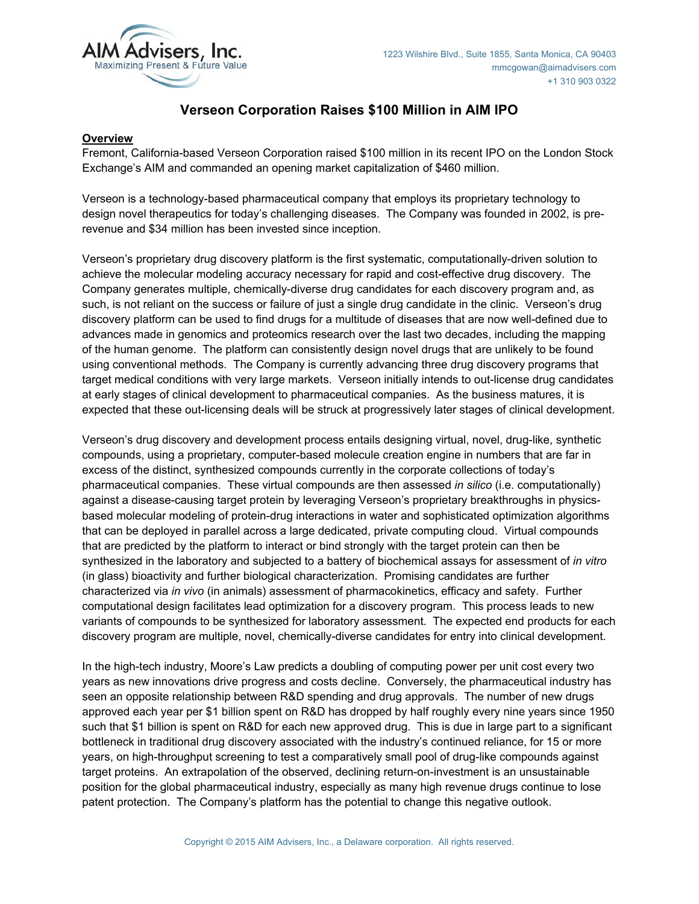

# **Verseon Corporation Raises \$100 Million in AIM IPO**

### **Overview**

Fremont, California-based Verseon Corporation raised \$100 million in its recent IPO on the London Stock Exchange's AIM and commanded an opening market capitalization of \$460 million.

Verseon is a technology-based pharmaceutical company that employs its proprietary technology to design novel therapeutics for today's challenging diseases. The Company was founded in 2002, is prerevenue and \$34 million has been invested since inception.

Verseon's proprietary drug discovery platform is the first systematic, computationally-driven solution to achieve the molecular modeling accuracy necessary for rapid and cost-effective drug discovery. The Company generates multiple, chemically-diverse drug candidates for each discovery program and, as such, is not reliant on the success or failure of just a single drug candidate in the clinic. Verseon's drug discovery platform can be used to find drugs for a multitude of diseases that are now well-defined due to advances made in genomics and proteomics research over the last two decades, including the mapping of the human genome. The platform can consistently design novel drugs that are unlikely to be found using conventional methods. The Company is currently advancing three drug discovery programs that target medical conditions with very large markets. Verseon initially intends to out-license drug candidates at early stages of clinical development to pharmaceutical companies. As the business matures, it is expected that these out-licensing deals will be struck at progressively later stages of clinical development.

Verseon's drug discovery and development process entails designing virtual, novel, drug-like, synthetic compounds, using a proprietary, computer-based molecule creation engine in numbers that are far in excess of the distinct, synthesized compounds currently in the corporate collections of today's pharmaceutical companies. These virtual compounds are then assessed *in silico* (i.e. computationally) against a disease-causing target protein by leveraging Verseon's proprietary breakthroughs in physicsbased molecular modeling of protein-drug interactions in water and sophisticated optimization algorithms that can be deployed in parallel across a large dedicated, private computing cloud. Virtual compounds that are predicted by the platform to interact or bind strongly with the target protein can then be synthesized in the laboratory and subjected to a battery of biochemical assays for assessment of *in vitro* (in glass) bioactivity and further biological characterization. Promising candidates are further characterized via *in vivo* (in animals) assessment of pharmacokinetics, efficacy and safety. Further computational design facilitates lead optimization for a discovery program. This process leads to new variants of compounds to be synthesized for laboratory assessment. The expected end products for each discovery program are multiple, novel, chemically-diverse candidates for entry into clinical development.

In the high-tech industry, Moore's Law predicts a doubling of computing power per unit cost every two years as new innovations drive progress and costs decline. Conversely, the pharmaceutical industry has seen an opposite relationship between R&D spending and drug approvals. The number of new drugs approved each year per \$1 billion spent on R&D has dropped by half roughly every nine years since 1950 such that \$1 billion is spent on R&D for each new approved drug. This is due in large part to a significant bottleneck in traditional drug discovery associated with the industry's continued reliance, for 15 or more years, on high-throughput screening to test a comparatively small pool of drug-like compounds against target proteins. An extrapolation of the observed, declining return-on-investment is an unsustainable position for the global pharmaceutical industry, especially as many high revenue drugs continue to lose patent protection. The Company's platform has the potential to change this negative outlook.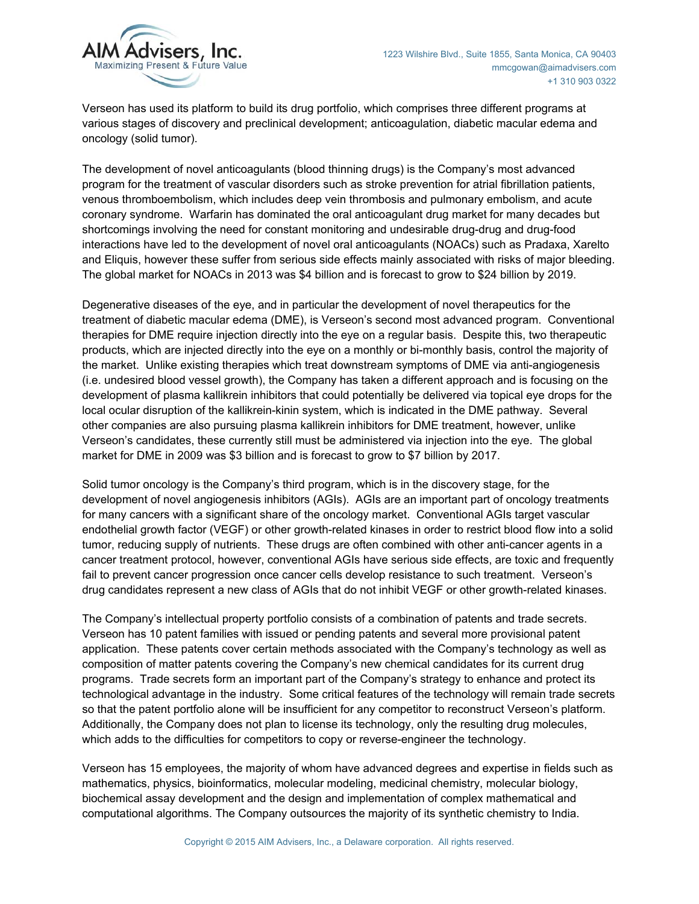

Verseon has used its platform to build its drug portfolio, which comprises three different programs at various stages of discovery and preclinical development; anticoagulation, diabetic macular edema and oncology (solid tumor).

The development of novel anticoagulants (blood thinning drugs) is the Company's most advanced program for the treatment of vascular disorders such as stroke prevention for atrial fibrillation patients, venous thromboembolism, which includes deep vein thrombosis and pulmonary embolism, and acute coronary syndrome. Warfarin has dominated the oral anticoagulant drug market for many decades but shortcomings involving the need for constant monitoring and undesirable drug-drug and drug-food interactions have led to the development of novel oral anticoagulants (NOACs) such as Pradaxa, Xarelto and Eliquis, however these suffer from serious side effects mainly associated with risks of major bleeding. The global market for NOACs in 2013 was \$4 billion and is forecast to grow to \$24 billion by 2019.

Degenerative diseases of the eye, and in particular the development of novel therapeutics for the treatment of diabetic macular edema (DME), is Verseon's second most advanced program. Conventional therapies for DME require injection directly into the eye on a regular basis. Despite this, two therapeutic products, which are injected directly into the eye on a monthly or bi-monthly basis, control the majority of the market. Unlike existing therapies which treat downstream symptoms of DME via anti-angiogenesis (i.e. undesired blood vessel growth), the Company has taken a different approach and is focusing on the development of plasma kallikrein inhibitors that could potentially be delivered via topical eye drops for the local ocular disruption of the kallikrein-kinin system, which is indicated in the DME pathway. Several other companies are also pursuing plasma kallikrein inhibitors for DME treatment, however, unlike Verseon's candidates, these currently still must be administered via injection into the eye. The global market for DME in 2009 was \$3 billion and is forecast to grow to \$7 billion by 2017.

Solid tumor oncology is the Company's third program, which is in the discovery stage, for the development of novel angiogenesis inhibitors (AGIs). AGIs are an important part of oncology treatments for many cancers with a significant share of the oncology market. Conventional AGIs target vascular endothelial growth factor (VEGF) or other growth-related kinases in order to restrict blood flow into a solid tumor, reducing supply of nutrients. These drugs are often combined with other anti-cancer agents in a cancer treatment protocol, however, conventional AGIs have serious side effects, are toxic and frequently fail to prevent cancer progression once cancer cells develop resistance to such treatment. Verseon's drug candidates represent a new class of AGIs that do not inhibit VEGF or other growth-related kinases.

The Company's intellectual property portfolio consists of a combination of patents and trade secrets. Verseon has 10 patent families with issued or pending patents and several more provisional patent application. These patents cover certain methods associated with the Company's technology as well as composition of matter patents covering the Company's new chemical candidates for its current drug programs. Trade secrets form an important part of the Company's strategy to enhance and protect its technological advantage in the industry. Some critical features of the technology will remain trade secrets so that the patent portfolio alone will be insufficient for any competitor to reconstruct Verseon's platform. Additionally, the Company does not plan to license its technology, only the resulting drug molecules, which adds to the difficulties for competitors to copy or reverse-engineer the technology.

Verseon has 15 employees, the majority of whom have advanced degrees and expertise in fields such as mathematics, physics, bioinformatics, molecular modeling, medicinal chemistry, molecular biology, biochemical assay development and the design and implementation of complex mathematical and computational algorithms. The Company outsources the majority of its synthetic chemistry to India.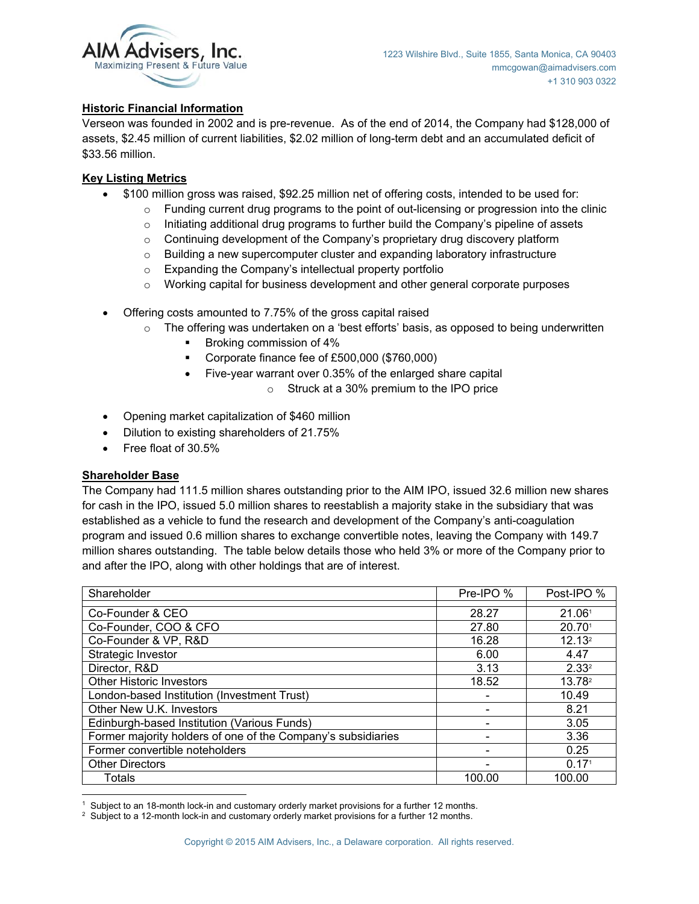

# **Historic Financial Information**

Verseon was founded in 2002 and is pre-revenue. As of the end of 2014, the Company had \$128,000 of assets, \$2.45 million of current liabilities, \$2.02 million of long-term debt and an accumulated deficit of \$33.56 million.

# **Key Listing Metrics**

- x \$100 million gross was raised, \$92.25 million net of offering costs, intended to be used for:
	- $\circ$  Funding current drug programs to the point of out-licensing or progression into the clinic
	- $\circ$  Initiating additional drug programs to further build the Company's pipeline of assets
	- o Continuing development of the Company's proprietary drug discovery platform
	- $\circ$  Building a new supercomputer cluster and expanding laboratory infrastructure
	- o Expanding the Company's intellectual property portfolio
	- $\circ$  Working capital for business development and other general corporate purposes
- Offering costs amounted to 7.75% of the gross capital raised
	- $\circ$  The offering was undertaken on a 'best efforts' basis, as opposed to being underwritten
		- Broking commission of 4%
		- Corporate finance fee of £500,000 (\$760,000)
			- Five-year warrant over 0.35% of the enlarged share capital
				- o Struck at a 30% premium to the IPO price
- Opening market capitalization of \$460 million
- Dilution to existing shareholders of 21.75%
- $\bullet$  Free float of 30.5%

#### **Shareholder Base**

The Company had 111.5 million shares outstanding prior to the AIM IPO, issued 32.6 million new shares for cash in the IPO, issued 5.0 million shares to reestablish a majority stake in the subsidiary that was established as a vehicle to fund the research and development of the Company's anti-coagulation program and issued 0.6 million shares to exchange convertible notes, leaving the Company with 149.7 million shares outstanding. The table below details those who held 3% or more of the Company prior to and after the IPO, along with other holdings that are of interest.

| Shareholder                                                  | Pre-IPO % | Post-IPO %         |
|--------------------------------------------------------------|-----------|--------------------|
| Co-Founder & CEO                                             | 28.27     | 21.061             |
| Co-Founder, COO & CFO                                        | 27.80     | 20.70 <sup>1</sup> |
| Co-Founder & VP, R&D                                         | 16.28     | 12.13 <sup>2</sup> |
| Strategic Investor                                           | 6.00      | 4.47               |
| Director, R&D                                                | 3.13      | 2.33 <sup>2</sup>  |
| <b>Other Historic Investors</b>                              | 18.52     | 13.78 <sup>2</sup> |
| London-based Institution (Investment Trust)                  |           | 10.49              |
| Other New U.K. Investors                                     |           | 8.21               |
| Edinburgh-based Institution (Various Funds)                  |           | 3.05               |
| Former majority holders of one of the Company's subsidiaries |           | 3.36               |
| Former convertible noteholders                               |           | 0.25               |
| <b>Other Directors</b>                                       |           | 0.17 <sup>1</sup>  |
| Totals                                                       | 100.00    | 100.00             |

 <sup>1</sup> Subject to an 18-month lock-in and customary orderly market provisions for a further 12 months.<br><sup>2</sup> Subject to a 12-month lock-in and customary orderly market provisions for a further 12 months.

<sup>&</sup>lt;sup>2</sup> Subject to a 12-month lock-in and customary orderly market provisions for a further 12 months.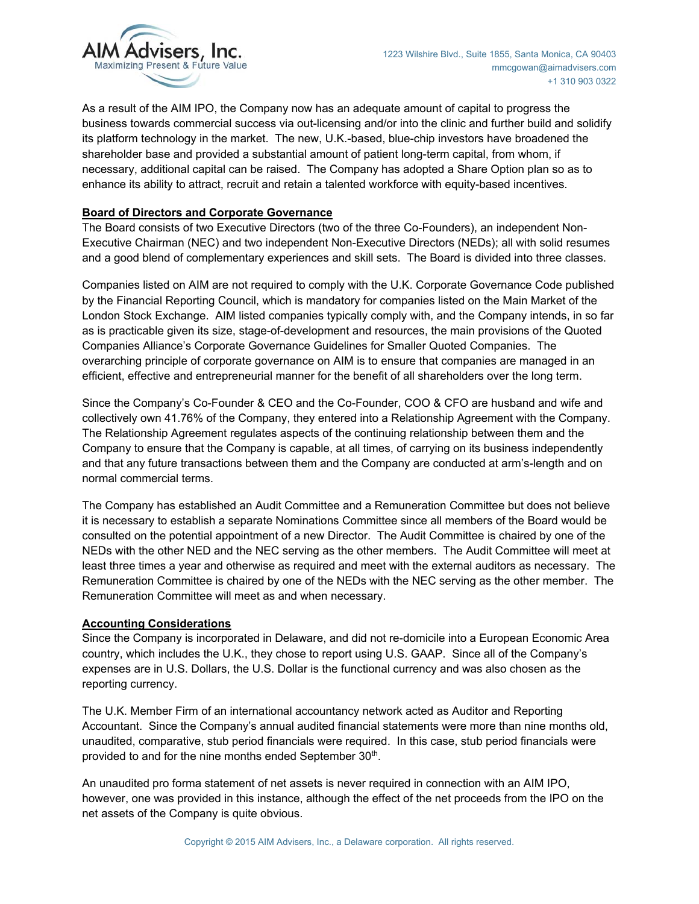

As a result of the AIM IPO, the Company now has an adequate amount of capital to progress the business towards commercial success via out-licensing and/or into the clinic and further build and solidify its platform technology in the market. The new, U.K.-based, blue-chip investors have broadened the shareholder base and provided a substantial amount of patient long-term capital, from whom, if necessary, additional capital can be raised. The Company has adopted a Share Option plan so as to enhance its ability to attract, recruit and retain a talented workforce with equity-based incentives.

## **Board of Directors and Corporate Governance**

The Board consists of two Executive Directors (two of the three Co-Founders), an independent Non-Executive Chairman (NEC) and two independent Non-Executive Directors (NEDs); all with solid resumes and a good blend of complementary experiences and skill sets. The Board is divided into three classes.

Companies listed on AIM are not required to comply with the U.K. Corporate Governance Code published by the Financial Reporting Council, which is mandatory for companies listed on the Main Market of the London Stock Exchange. AIM listed companies typically comply with, and the Company intends, in so far as is practicable given its size, stage-of-development and resources, the main provisions of the Quoted Companies Alliance's Corporate Governance Guidelines for Smaller Quoted Companies. The overarching principle of corporate governance on AIM is to ensure that companies are managed in an efficient, effective and entrepreneurial manner for the benefit of all shareholders over the long term.

Since the Company's Co-Founder & CEO and the Co-Founder, COO & CFO are husband and wife and collectively own 41.76% of the Company, they entered into a Relationship Agreement with the Company. The Relationship Agreement regulates aspects of the continuing relationship between them and the Company to ensure that the Company is capable, at all times, of carrying on its business independently and that any future transactions between them and the Company are conducted at arm's-length and on normal commercial terms.

The Company has established an Audit Committee and a Remuneration Committee but does not believe it is necessary to establish a separate Nominations Committee since all members of the Board would be consulted on the potential appointment of a new Director. The Audit Committee is chaired by one of the NEDs with the other NED and the NEC serving as the other members. The Audit Committee will meet at least three times a year and otherwise as required and meet with the external auditors as necessary. The Remuneration Committee is chaired by one of the NEDs with the NEC serving as the other member. The Remuneration Committee will meet as and when necessary.

#### **Accounting Considerations**

Since the Company is incorporated in Delaware, and did not re-domicile into a European Economic Area country, which includes the U.K., they chose to report using U.S. GAAP. Since all of the Company's expenses are in U.S. Dollars, the U.S. Dollar is the functional currency and was also chosen as the reporting currency.

The U.K. Member Firm of an international accountancy network acted as Auditor and Reporting Accountant. Since the Company's annual audited financial statements were more than nine months old, unaudited, comparative, stub period financials were required. In this case, stub period financials were provided to and for the nine months ended September 30<sup>th</sup>.

An unaudited pro forma statement of net assets is never required in connection with an AIM IPO, however, one was provided in this instance, although the effect of the net proceeds from the IPO on the net assets of the Company is quite obvious.